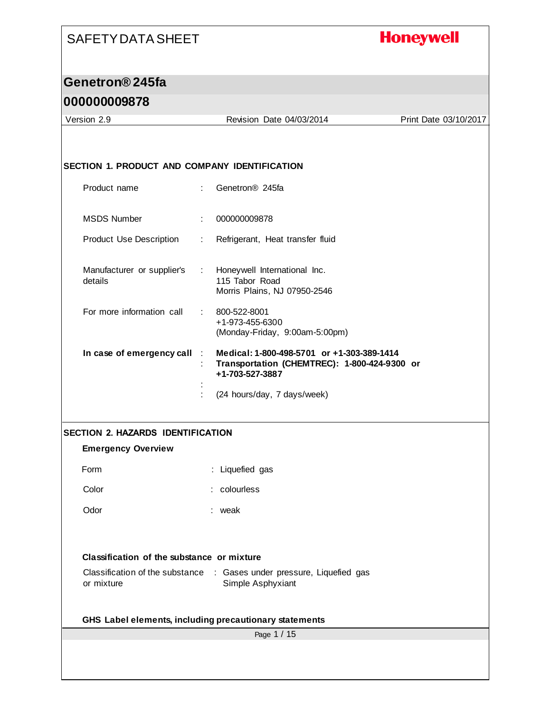#### **Honeywell**

#### **Genetron® 245fa**

#### **000000009878**

Page 1 / 15 Version 2.9 Revision Date 04/03/2014 Print Date 03/10/2017 **SECTION 1. PRODUCT AND COMPANY IDENTIFICATION** Product name : Genetron® 245fa MSDS Number : 000000009878 Product Use Description : Refrigerant, Heat transfer fluid Manufacturer or supplier's : details : Honeywell International Inc. 115 Tabor Road Morris Plains, NJ 07950-2546 For more information call : 800-522-8001 +1-973-455-6300 (Monday-Friday, 9:00am-5:00pm) **In case of emergency call** : **Medical: 1-800-498-5701 or +1-303-389-1414** : **Transportation (CHEMTREC): 1-800-424-9300 or +1-703-527-3887** : : (24 hours/day, 7 days/week) **SECTION 2. HAZARDS IDENTIFICATION Emergency Overview** Form : Liquefied gas Color : colourless Odor : weak **Classification of the substance or mixture** Classification of the substance : Gases under pressure, Liquefied gas or mixture Simple Asphyxiant **GHS Label elements, including precautionary statements**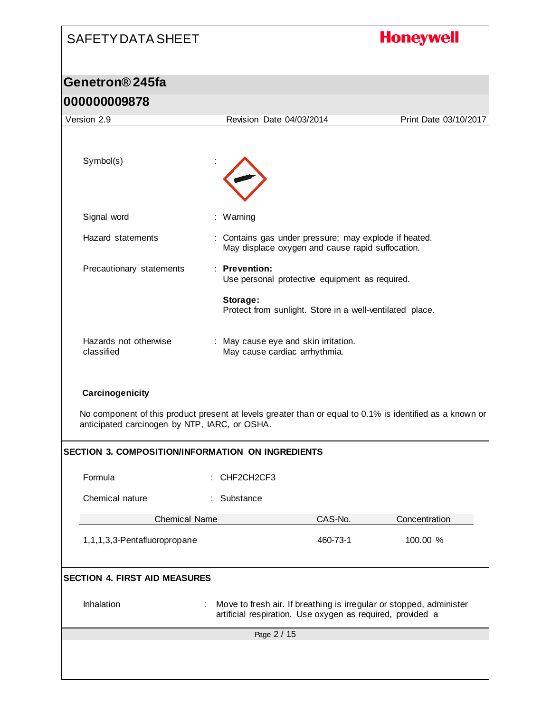# **Honeywell** SAFETY DATA SHEET **Genetron® 245fa 000000009878** Version 2.9 Revision Date 04/03/2014 Print Date 03/10/2017 Symbol(s) Signal word : Warning Hazard statements : Contains gas under pressure; may explode if heated. May displace oxygen and cause rapid suffocation. Precautionary statements : **Prevention:**  Use personal protective equipment as required. **Storage:**  Protect from sunlight. Store in a well-ventilated place. Hazards not otherwise : May cause eye and skin irritation. classified May cause cardiac arrhythmia. **Carcinogenicity** No component of this product present at levels greater than or equal to 0.1% is identified as a known or anticipated carcinogen by NTP, IARC, or OSHA. **SECTION 3. COMPOSITION/INFORMATION ON INGREDIENTS** Formula : CHF2CH2CF3 Chemical nature : Substance Chemical Name CAS-No. Concentration 1,1,1,3,3-Pentafluoropropane 460-73-1 100.00 % **SECTION 4. FIRST AID MEASURES** Inhalation : Move to fresh air. If breathing is irregular or stopped, administer artificial respiration. Use oxygen as required, provided a Page 2 / 15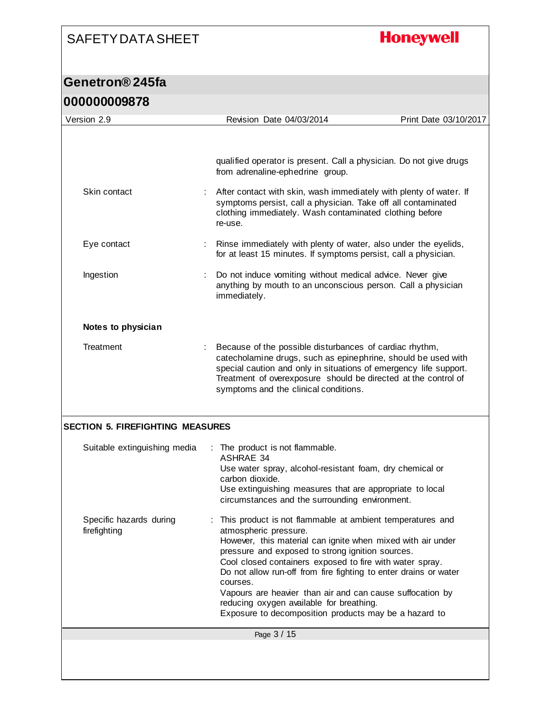## **Honeywell**

| 000000009878                            |                                                                                                                                                                                                                                                                                                                                                                                                                                                                                                                     |
|-----------------------------------------|---------------------------------------------------------------------------------------------------------------------------------------------------------------------------------------------------------------------------------------------------------------------------------------------------------------------------------------------------------------------------------------------------------------------------------------------------------------------------------------------------------------------|
| Version 2.9                             | Print Date 03/10/2017<br>Revision Date 04/03/2014                                                                                                                                                                                                                                                                                                                                                                                                                                                                   |
|                                         | qualified operator is present. Call a physician. Do not give drugs<br>from adrenaline-ephedrine group.                                                                                                                                                                                                                                                                                                                                                                                                              |
| Skin contact                            | After contact with skin, wash immediately with plenty of water. If<br>symptoms persist, call a physician. Take off all contaminated<br>clothing immediately. Wash contaminated clothing before<br>re-use.                                                                                                                                                                                                                                                                                                           |
| Eye contact                             | Rinse immediately with plenty of water, also under the eyelids,<br>for at least 15 minutes. If symptoms persist, call a physician.                                                                                                                                                                                                                                                                                                                                                                                  |
| Ingestion                               | Do not induce vomiting without medical advice. Never give<br>anything by mouth to an unconscious person. Call a physician<br>immediately.                                                                                                                                                                                                                                                                                                                                                                           |
| Notes to physician                      |                                                                                                                                                                                                                                                                                                                                                                                                                                                                                                                     |
| Treatment                               | Because of the possible disturbances of cardiac rhythm,<br>catecholamine drugs, such as epinephrine, should be used with<br>special caution and only in situations of emergency life support.<br>Treatment of overexposure should be directed at the control of<br>symptoms and the clinical conditions.                                                                                                                                                                                                            |
| <b>SECTION 5. FIREFIGHTING MEASURES</b> |                                                                                                                                                                                                                                                                                                                                                                                                                                                                                                                     |
| Suitable extinguishing media            | : The product is not flammable.<br><b>ASHRAE 34</b><br>Use water spray, alcohol-resistant foam, dry chemical or                                                                                                                                                                                                                                                                                                                                                                                                     |
|                                         | carbon dioxide.<br>Use extinguishing measures that are appropriate to local<br>circumstances and the surrounding environment.                                                                                                                                                                                                                                                                                                                                                                                       |
| Specific hazards during<br>firefighting | This product is not flammable at ambient temperatures and<br>atmospheric pressure.<br>However, this material can ignite when mixed with air under<br>pressure and exposed to strong ignition sources.<br>Cool closed containers exposed to fire with water spray.<br>Do not allow run-off from fire fighting to enter drains or water<br>courses.<br>Vapours are heavier than air and can cause suffocation by<br>reducing oxygen available for breathing.<br>Exposure to decomposition products may be a hazard to |
|                                         | Page 3 / 15                                                                                                                                                                                                                                                                                                                                                                                                                                                                                                         |
|                                         |                                                                                                                                                                                                                                                                                                                                                                                                                                                                                                                     |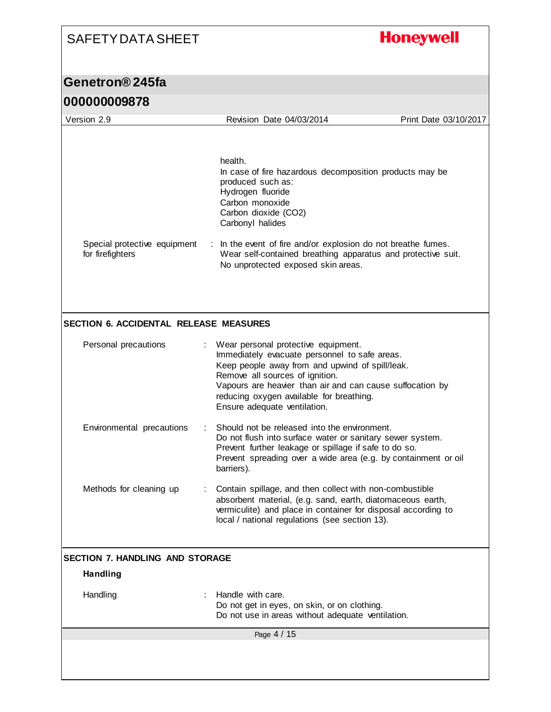## **Honeywell**

| <u>UUUUUUUUJO / 0</u>                            |    |                                                                                                                                                                                                                                                    |                       |
|--------------------------------------------------|----|----------------------------------------------------------------------------------------------------------------------------------------------------------------------------------------------------------------------------------------------------|-----------------------|
| Version 2.9                                      |    | Revision Date 04/03/2014                                                                                                                                                                                                                           | Print Date 03/10/2017 |
|                                                  |    |                                                                                                                                                                                                                                                    |                       |
|                                                  |    | health.<br>In case of fire hazardous decomposition products may be<br>produced such as:<br>Hydrogen fluoride<br>Carbon monoxide<br>Carbon dioxide (CO2)                                                                                            |                       |
|                                                  |    | Carbonyl halides                                                                                                                                                                                                                                   |                       |
| Special protective equipment<br>for firefighters |    | : In the event of fire and/or explosion do not breathe fumes.<br>Wear self-contained breathing apparatus and protective suit.<br>No unprotected exposed skin areas.                                                                                |                       |
|                                                  |    |                                                                                                                                                                                                                                                    |                       |
| SECTION 6. ACCIDENTAL RELEASE MEASURES           |    |                                                                                                                                                                                                                                                    |                       |
| Personal precautions                             |    | Wear personal protective equipment.<br>Immediately evacuate personnel to safe areas.<br>Keep people away from and upwind of spill/leak.                                                                                                            |                       |
|                                                  |    | Remove all sources of ignition.<br>Vapours are heavier than air and can cause suffocation by<br>reducing oxygen available for breathing.<br>Ensure adequate ventilation.                                                                           |                       |
| Environmental precautions                        | ÷. | Should not be released into the environment.<br>Do not flush into surface water or sanitary sewer system.<br>Prevent further leakage or spillage if safe to do so.<br>Prevent spreading over a wide area (e.g. by containment or oil<br>barriers). |                       |
| Methods for cleaning up                          |    | Contain spillage, and then collect with non-combustible<br>absorbent material, (e.g. sand, earth, diatomaceous earth,<br>vermiculite) and place in container for disposal according to<br>local / national regulations (see section 13).           |                       |
| <b>SECTION 7. HANDLING AND STORAGE</b>           |    |                                                                                                                                                                                                                                                    |                       |
| <b>Handling</b>                                  |    |                                                                                                                                                                                                                                                    |                       |
| Handling                                         |    | Handle with care.<br>Do not get in eyes, on skin, or on clothing.<br>Do not use in areas without adequate ventilation.                                                                                                                             |                       |
|                                                  |    | Page 4 / 15                                                                                                                                                                                                                                        |                       |
|                                                  |    |                                                                                                                                                                                                                                                    |                       |
|                                                  |    |                                                                                                                                                                                                                                                    |                       |
|                                                  |    |                                                                                                                                                                                                                                                    |                       |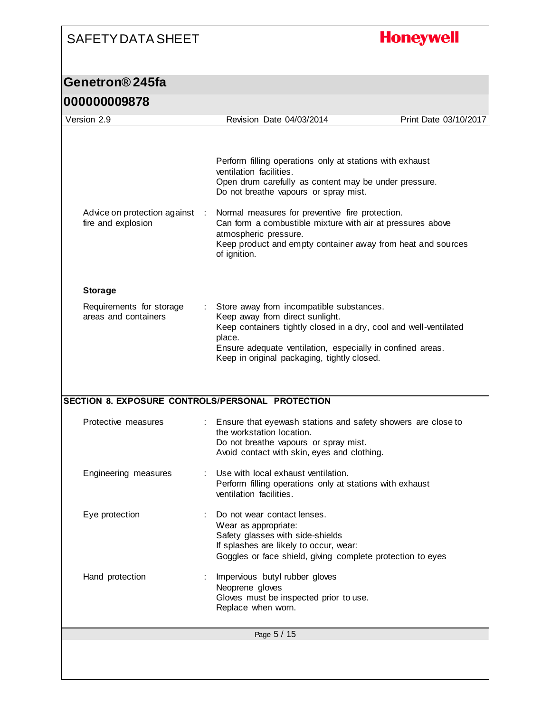## **Honeywell**

| Version 2.9                                          | Revision Date 04/03/2014                                                                                                                                                                                                                                                | Print Date 03/10/2017 |
|------------------------------------------------------|-------------------------------------------------------------------------------------------------------------------------------------------------------------------------------------------------------------------------------------------------------------------------|-----------------------|
|                                                      |                                                                                                                                                                                                                                                                         |                       |
|                                                      | Perform filling operations only at stations with exhaust<br>ventilation facilities.<br>Open drum carefully as content may be under pressure.<br>Do not breathe vapours or spray mist.                                                                                   |                       |
| Advice on protection against :<br>fire and explosion | Normal measures for preventive fire protection.<br>Can form a combustible mixture with air at pressures above<br>atmospheric pressure.<br>Keep product and empty container away from heat and sources<br>of ignition.                                                   |                       |
| <b>Storage</b>                                       |                                                                                                                                                                                                                                                                         |                       |
| Requirements for storage<br>areas and containers     | Store away from incompatible substances.<br>Keep away from direct sunlight.<br>Keep containers tightly closed in a dry, cool and well-ventilated<br>place.<br>Ensure adequate ventilation, especially in confined areas.<br>Keep in original packaging, tightly closed. |                       |
| SECTION 8. EXPOSURE CONTROLS/PERSONAL PROTECTION     |                                                                                                                                                                                                                                                                         |                       |
| Protective measures                                  | Ensure that eyewash stations and safety showers are close to                                                                                                                                                                                                            |                       |
|                                                      | the workstation location.<br>Do not breathe vapours or spray mist.<br>Avoid contact with skin, eyes and clothing.                                                                                                                                                       |                       |
| Engineering measures                                 | Use with local exhaust ventilation.<br>Perform filling operations only at stations with exhaust<br>ventilation facilities.                                                                                                                                              |                       |
| Eye protection                                       | Do not wear contact lenses.<br>Wear as appropriate:<br>Safety glasses with side-shields<br>If splashes are likely to occur, wear:<br>Goggles or face shield, giving complete protection to eyes                                                                         |                       |
| Hand protection                                      | Impervious butyl rubber gloves<br>Neoprene gloves<br>Gloves must be inspected prior to use.<br>Replace when worn.                                                                                                                                                       |                       |
|                                                      | Page 5 / 15                                                                                                                                                                                                                                                             |                       |
|                                                      |                                                                                                                                                                                                                                                                         |                       |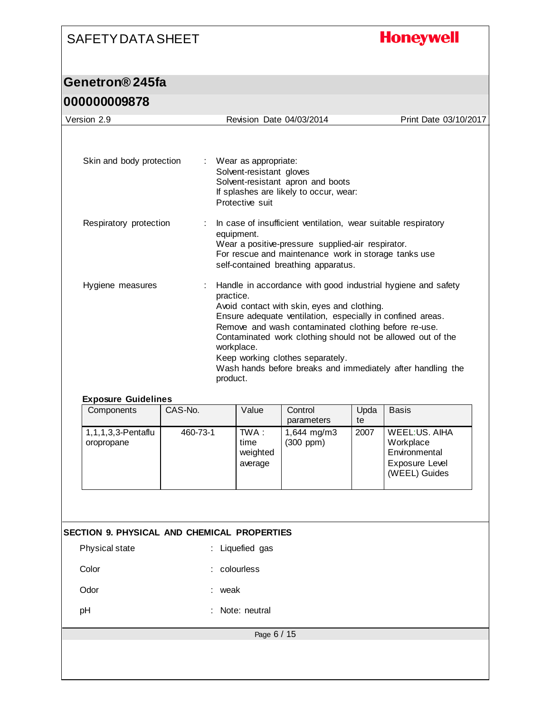## **Honeywell**

### **Genetron® 245fa**

#### **000000009878**

| Version 2.9                                 |         |          | Revision Date 04/03/2014                                            |                                                                                                                                                                                                                    |            | Print Date 03/10/2017                                                                                                                                                                      |
|---------------------------------------------|---------|----------|---------------------------------------------------------------------|--------------------------------------------------------------------------------------------------------------------------------------------------------------------------------------------------------------------|------------|--------------------------------------------------------------------------------------------------------------------------------------------------------------------------------------------|
| Skin and body protection                    |         |          | Wear as appropriate:<br>Solvent-resistant gloves<br>Protective suit | Solvent-resistant apron and boots<br>If splashes are likely to occur, wear:                                                                                                                                        |            |                                                                                                                                                                                            |
| Respiratory protection                      |         |          | equipment.                                                          | In case of insufficient ventilation, wear suitable respiratory<br>Wear a positive-pressure supplied-air respirator.<br>For rescue and maintenance work in storage tanks use<br>self-contained breathing apparatus. |            |                                                                                                                                                                                            |
| Hygiene measures                            |         |          | practice.<br>workplace.<br>product.                                 | Avoid contact with skin, eyes and clothing.<br>Ensure adequate ventilation, especially in confined areas.<br>Remove and wash contaminated clothing before re-use.<br>Keep working clothes separately.              |            | Handle in accordance with good industrial hygiene and safety<br>Contaminated work clothing should not be allowed out of the<br>Wash hands before breaks and immediately after handling the |
| <b>Exposure Guidelines</b><br>Components    | CAS-No. |          | Value                                                               | Control                                                                                                                                                                                                            | Upda       | <b>Basis</b>                                                                                                                                                                               |
| 1, 1, 1, 3, 3-Pentaflu<br>oropropane        |         | 460-73-1 | $TWA$ :<br>time<br>weighted<br>average                              | parameters<br>1,644 mg/m3<br>(300 ppm)                                                                                                                                                                             | te<br>2007 | <b>WEEL:US. AIHA</b><br>Workplace<br>Environmental<br>Exposure Level<br>(WEEL) Guides                                                                                                      |
|                                             |         |          |                                                                     |                                                                                                                                                                                                                    |            |                                                                                                                                                                                            |
| SECTION 9. PHYSICAL AND CHEMICAL PROPERTIES |         |          |                                                                     |                                                                                                                                                                                                                    |            |                                                                                                                                                                                            |
| Physical state                              |         |          | : Liquefied gas                                                     |                                                                                                                                                                                                                    |            |                                                                                                                                                                                            |
| Color                                       |         |          | colourless                                                          |                                                                                                                                                                                                                    |            |                                                                                                                                                                                            |
| Odor                                        |         |          | weak                                                                |                                                                                                                                                                                                                    |            |                                                                                                                                                                                            |
| pH                                          |         |          | Note: neutral                                                       |                                                                                                                                                                                                                    |            |                                                                                                                                                                                            |
|                                             |         |          | Page 6 / 15                                                         |                                                                                                                                                                                                                    |            |                                                                                                                                                                                            |
|                                             |         |          |                                                                     |                                                                                                                                                                                                                    |            |                                                                                                                                                                                            |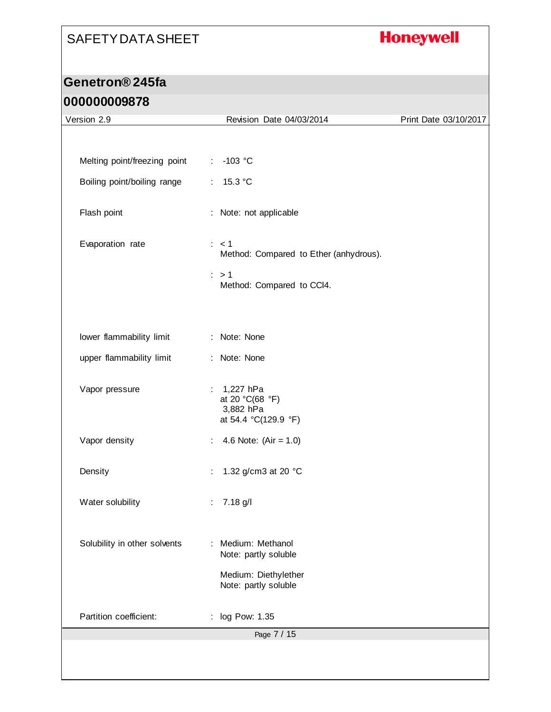## **Honeywell**

### **Genetron® 245fa**

#### **000000009878**

| Version 2.9                  | Revision Date 04/03/2014                                               | Print Date 03/10/2017 |
|------------------------------|------------------------------------------------------------------------|-----------------------|
|                              |                                                                        |                       |
| Melting point/freezing point | $-103$ °C<br>÷.                                                        |                       |
| Boiling point/boiling range  | 15.3 °C<br>÷                                                           |                       |
| Flash point                  | : Note: not applicable                                                 |                       |
| Evaporation rate             | : < 1<br>Method: Compared to Ether (anhydrous).                        |                       |
|                              | $\therefore$ > 1<br>Method: Compared to CCI4.                          |                       |
| lower flammability limit     | : Note: None                                                           |                       |
| upper flammability limit     | : Note: None                                                           |                       |
| Vapor pressure               | 1,227 hPa<br>÷<br>at 20 °C(68 °F)<br>3,882 hPa<br>at 54.4 °C(129.9 °F) |                       |
| Vapor density                | 4.6 Note: $(Air = 1.0)$                                                |                       |
| Density                      | 1.32 g/cm3 at 20 °C<br>÷                                               |                       |
| Water solubility             | 7.18 g/l<br>÷.                                                         |                       |
| Solubility in other solvents | Medium: Methanol<br>Note: partly soluble                               |                       |
|                              | Medium: Diethylether<br>Note: partly soluble                           |                       |
| Partition coefficient:       | log Pow: 1.35                                                          |                       |
|                              | Page 7 / 15                                                            |                       |
|                              |                                                                        |                       |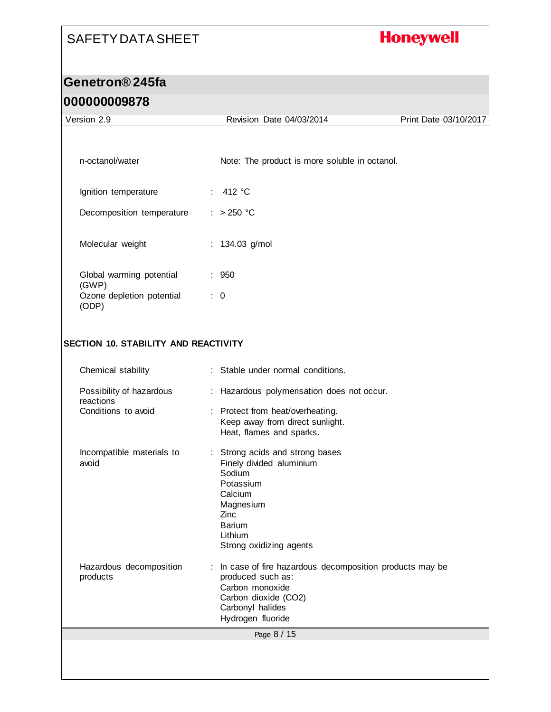## **Honeywell**

| Version 2.9                                 | Revision Date 04/03/2014                                                                                                                                                  | Print Date 03/10/2017 |
|---------------------------------------------|---------------------------------------------------------------------------------------------------------------------------------------------------------------------------|-----------------------|
| n-octanol/water                             | Note: The product is more soluble in octanol.                                                                                                                             |                       |
| Ignition temperature                        | : $412 °C$                                                                                                                                                                |                       |
| Decomposition temperature                   | $: > 250$ °C                                                                                                                                                              |                       |
| Molecular weight                            | : 134.03 g/mol                                                                                                                                                            |                       |
| Global warming potential<br>(GWP)           | : 950                                                                                                                                                                     |                       |
| Ozone depletion potential<br>(ODP)          | $\therefore$ 0                                                                                                                                                            |                       |
|                                             |                                                                                                                                                                           |                       |
| <b>SECTION 10. STABILITY AND REACTIVITY</b> |                                                                                                                                                                           |                       |
|                                             |                                                                                                                                                                           |                       |
| Chemical stability                          | : Stable under normal conditions.                                                                                                                                         |                       |
| Possibility of hazardous<br>reactions       | : Hazardous polymerisation does not occur.                                                                                                                                |                       |
| Conditions to avoid                         | Protect from heat/overheating.<br>÷<br>Keep away from direct sunlight.<br>Heat, flames and sparks.                                                                        |                       |
| Incompatible materials to<br>avoid          | : Strong acids and strong bases<br>Finely divided aluminium<br>Sodium<br>Potassium<br>Calcium<br>Magnesium<br>Zinc<br><b>Barium</b><br>Lithium<br>Strong oxidizing agents |                       |
| Hazardous decomposition<br>products         | In case of fire hazardous decomposition products may be<br>produced such as:<br>Carbon monoxide<br>Carbon dioxide (CO2)<br>Carbonyl halides<br>Hydrogen fluoride          |                       |
|                                             | Page 8 / 15                                                                                                                                                               |                       |
|                                             |                                                                                                                                                                           |                       |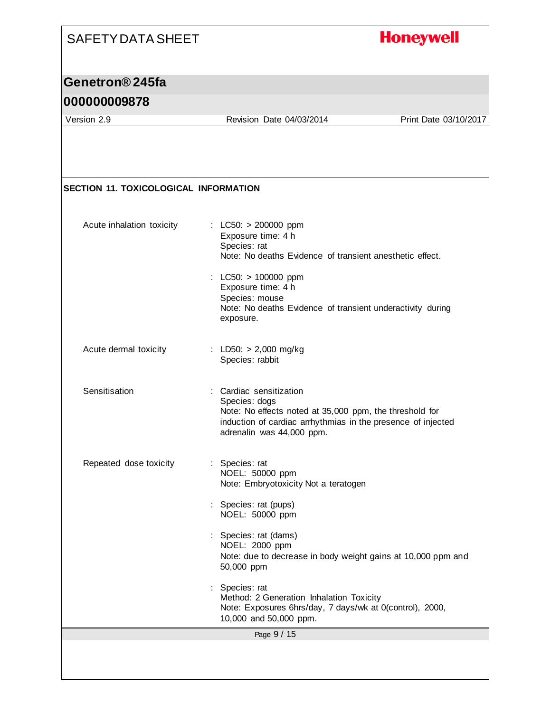## **Honeywell**

#### **Genetron® 245fa**

#### **000000009878**

Version 2.9 Revision Date 04/03/2014 Print Date 03/10/2017

| <b>SECTION 11. TOXICOLOGICAL INFORMATION</b> |                                                                                                                                                                                                  |
|----------------------------------------------|--------------------------------------------------------------------------------------------------------------------------------------------------------------------------------------------------|
| Acute inhalation toxicity                    | : LC50: $> 200000$ ppm<br>Exposure time: 4 h<br>Species: rat<br>Note: No deaths Evidence of transient anesthetic effect.                                                                         |
|                                              | : LC50: $> 100000$ ppm<br>Exposure time: 4 h<br>Species: mouse<br>Note: No deaths Evidence of transient underactivity during<br>exposure.                                                        |
| Acute dermal toxicity                        | : LD50: $> 2,000$ mg/kg<br>Species: rabbit                                                                                                                                                       |
| Sensitisation                                | : Cardiac sensitization<br>Species: dogs<br>Note: No effects noted at 35,000 ppm, the threshold for<br>induction of cardiac arrhythmias in the presence of injected<br>adrenalin was 44,000 ppm. |
| Repeated dose toxicity                       | : Species: rat<br>NOEL: 50000 ppm<br>Note: Embryotoxicity Not a teratogen                                                                                                                        |
|                                              | Species: rat (pups)<br>NOEL: 50000 ppm                                                                                                                                                           |
|                                              | Species: rat (dams)<br>NOEL: 2000 ppm<br>Note: due to decrease in body weight gains at 10,000 ppm and<br>50,000 ppm                                                                              |
|                                              | Species: rat<br>Method: 2 Generation Inhalation Toxicity<br>Note: Exposures 6hrs/day, 7 days/wk at 0(control), 2000,<br>10,000 and 50,000 ppm.                                                   |
|                                              | Page 9 / 15                                                                                                                                                                                      |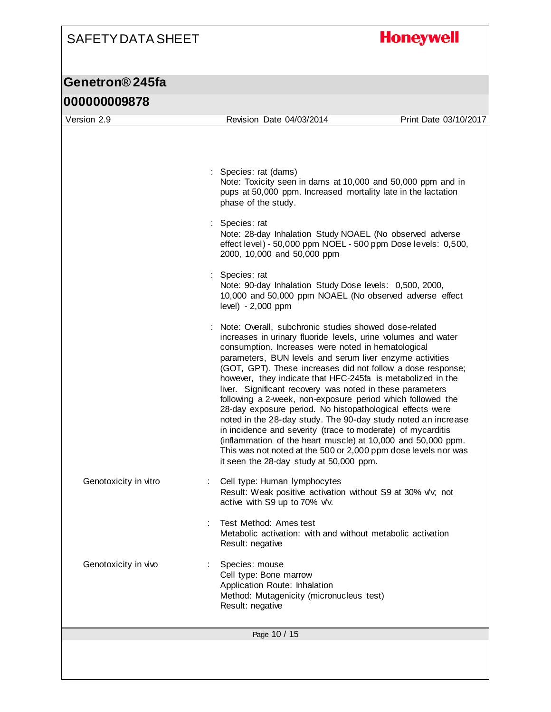## **Honeywell**

| 000000009878          |                                                                                                                                                                                                                                                                                                                                                                                                                                                                                                                                                                                                                                                                                                                                                                                                                                                                             |                       |
|-----------------------|-----------------------------------------------------------------------------------------------------------------------------------------------------------------------------------------------------------------------------------------------------------------------------------------------------------------------------------------------------------------------------------------------------------------------------------------------------------------------------------------------------------------------------------------------------------------------------------------------------------------------------------------------------------------------------------------------------------------------------------------------------------------------------------------------------------------------------------------------------------------------------|-----------------------|
| Version 2.9           | Revision Date 04/03/2014                                                                                                                                                                                                                                                                                                                                                                                                                                                                                                                                                                                                                                                                                                                                                                                                                                                    | Print Date 03/10/2017 |
|                       | : Species: rat (dams)<br>Note: Toxicity seen in dams at 10,000 and 50,000 ppm and in<br>pups at 50,000 ppm. Increased mortality late in the lactation<br>phase of the study.<br>Species: rat<br>Note: 28-day Inhalation Study NOAEL (No observed adverse<br>effect level) - 50,000 ppm NOEL - 500 ppm Dose levels: 0,500,<br>2000, 10,000 and 50,000 ppm<br>Species: rat<br>Note: 90-day Inhalation Study Dose levels: 0,500, 2000,<br>10,000 and 50,000 ppm NOAEL (No observed adverse effect<br>level) - 2,000 ppm                                                                                                                                                                                                                                                                                                                                                        |                       |
|                       | Note: Overall, subchronic studies showed dose-related<br>increases in urinary fluoride levels, urine volumes and water<br>consumption. Increases were noted in hematological<br>parameters, BUN levels and serum liver enzyme activities<br>(GOT, GPT). These increases did not follow a dose response;<br>however, they indicate that HFC-245fa is metabolized in the<br>liver. Significant recovery was noted in these parameters<br>following a 2-week, non-exposure period which followed the<br>28-day exposure period. No histopathological effects were<br>noted in the 28-day study. The 90-day study noted an increase<br>in incidence and severity (trace to moderate) of mycarditis<br>(inflammation of the heart muscle) at 10,000 and 50,000 ppm.<br>This was not noted at the 500 or 2,000 ppm dose levels nor was<br>it seen the 28-day study at 50,000 ppm. |                       |
| Genotoxicity in vitro | Cell type: Human lymphocytes<br>Result: Weak positive activation without S9 at 30% v/v, not<br>active with S9 up to 70% v/v.<br>Test Method: Ames test<br>Metabolic activation: with and without metabolic activation<br>Result: negative                                                                                                                                                                                                                                                                                                                                                                                                                                                                                                                                                                                                                                   |                       |
| Genotoxicity in vivo  | Species: mouse<br>Cell type: Bone marrow<br>Application Route: Inhalation<br>Method: Mutagenicity (micronucleus test)<br>Result: negative                                                                                                                                                                                                                                                                                                                                                                                                                                                                                                                                                                                                                                                                                                                                   |                       |
|                       | Page 10 / 15                                                                                                                                                                                                                                                                                                                                                                                                                                                                                                                                                                                                                                                                                                                                                                                                                                                                |                       |
|                       |                                                                                                                                                                                                                                                                                                                                                                                                                                                                                                                                                                                                                                                                                                                                                                                                                                                                             |                       |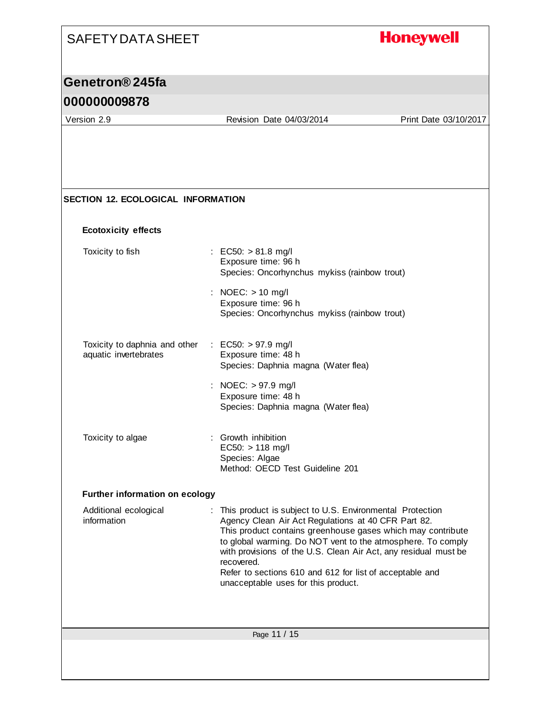## **Honeywell** SAFETY DATA SHEET **Genetron® 245fa 000000009878** Version 2.9 Revision Date 04/03/2014 Print Date 03/10/2017

**SECTION 12. ECOLOGICAL INFORMATION Ecotoxicity effects** Toxicity to fish : EC50: > 81.8 mg/l Exposure time: 96 h Species: Oncorhynchus mykiss (rainbow trout) : NOEC: > 10 mg/l Exposure time: 96 h Species: Oncorhynchus mykiss (rainbow trout) Toxicity to daphnia and other aquatic invertebrates : EC50: > 97.9 mg/l Exposure time: 48 h Species: Daphnia magna (Water flea)

- : NOEC: > 97.9 mg/l Exposure time: 48 h Species: Daphnia magna (Water flea)
- Toxicity to algae : Growth inhibition EC50:  $> 118$  mg/l Species: Algae Method: OECD Test Guideline 201

#### **Further information on ecology**

Additional ecological information : This product is subject to U.S. Environmental Protection Agency Clean Air Act Regulations at 40 CFR Part 82. This product contains greenhouse gases which may contribute to global warming. Do NOT vent to the atmosphere. To comply with provisions of the U.S. Clean Air Act, any residual must be recovered. Refer to sections 610 and 612 for list of acceptable and unacceptable uses for this product.

Page 11 / 15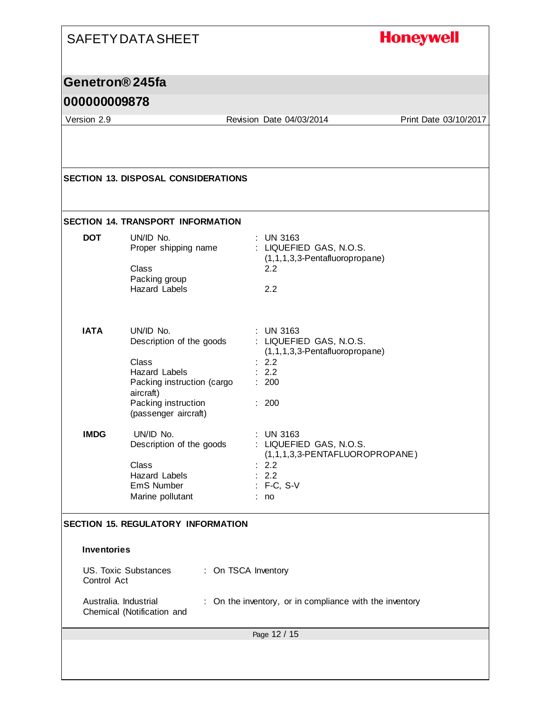|                                             | <b>SAFETY DATA SHEET</b>                                                                                                                                                |                                                                                                                                | <b>Honeywell</b>      |
|---------------------------------------------|-------------------------------------------------------------------------------------------------------------------------------------------------------------------------|--------------------------------------------------------------------------------------------------------------------------------|-----------------------|
| Genetron <sup>®</sup> 245fa<br>000000009878 |                                                                                                                                                                         |                                                                                                                                |                       |
| Version 2.9                                 |                                                                                                                                                                         | Revision Date 04/03/2014                                                                                                       | Print Date 03/10/2017 |
|                                             |                                                                                                                                                                         |                                                                                                                                |                       |
|                                             | <b>SECTION 13. DISPOSAL CONSIDERATIONS</b>                                                                                                                              |                                                                                                                                |                       |
|                                             | <b>SECTION 14. TRANSPORT INFORMATION</b>                                                                                                                                |                                                                                                                                |                       |
| <b>DOT</b>                                  | UN/ID No.<br>Proper shipping name<br>Class<br>Packing group<br><b>Hazard Labels</b>                                                                                     | <b>UN 3163</b><br>: LIQUEFIED GAS, N.O.S.<br>$(1,1,1,3,3$ -Pentafluoropropane)<br>2.2<br>2.2                                   |                       |
| <b>IATA</b>                                 | UN/ID No.<br>Description of the goods<br><b>Class</b><br><b>Hazard Labels</b><br>Packing instruction (cargo<br>aircraft)<br>Packing instruction<br>(passenger aircraft) | <b>UN 3163</b><br>: LIQUEFIED GAS, N.O.S.<br>(1,1,1,3,3-Pentafluoropropane)<br>: 2.2<br>: 2.2<br>: 200<br>: 200                |                       |
| <b>IMDG</b>                                 | UN/ID No.<br>Description of the goods<br>Class<br>Hazard Labels<br>EmS Number<br>Marine pollutant                                                                       | <b>UN 3163</b><br>: LIQUEFIED GAS, N.O.S.<br>(1,1,1,3,3-PENTAFLUOROPROPANE)<br>$\therefore$ 2.2<br>: 2.2<br>: F-C, S-V<br>: no |                       |
|                                             | <b>SECTION 15. REGULATORY INFORMATION</b>                                                                                                                               |                                                                                                                                |                       |
| <b>Inventories</b>                          |                                                                                                                                                                         |                                                                                                                                |                       |
| Control Act                                 | US. Toxic Substances                                                                                                                                                    | : On TSCA Inventory                                                                                                            |                       |
|                                             | Australia. Industrial<br>Chemical (Notification and                                                                                                                     | On the inventory, or in compliance with the inventory                                                                          |                       |
|                                             |                                                                                                                                                                         | Page 12 / 15                                                                                                                   |                       |
|                                             |                                                                                                                                                                         |                                                                                                                                |                       |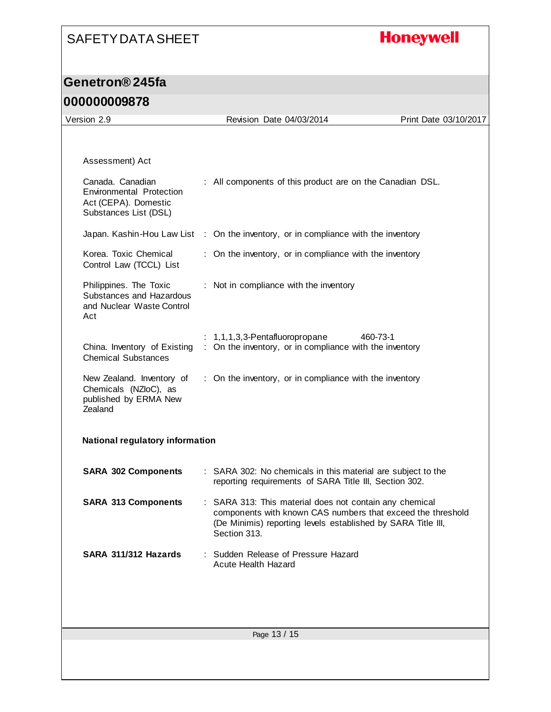## **Honeywell**

| Version 2.9                                                                                          | Revision Date 04/03/2014                                                                                                                                                                               | Print Date 03/10/2017 |
|------------------------------------------------------------------------------------------------------|--------------------------------------------------------------------------------------------------------------------------------------------------------------------------------------------------------|-----------------------|
|                                                                                                      |                                                                                                                                                                                                        |                       |
| Assessment) Act                                                                                      |                                                                                                                                                                                                        |                       |
| Canada. Canadian<br><b>Environmental Protection</b><br>Act (CEPA). Domestic<br>Substances List (DSL) | : All components of this product are on the Canadian DSL.                                                                                                                                              |                       |
|                                                                                                      | Japan. Kashin-Hou Law List : On the inventory, or in compliance with the inventory                                                                                                                     |                       |
| Korea. Toxic Chemical<br>Control Law (TCCL) List                                                     | : On the inventory, or in compliance with the inventory                                                                                                                                                |                       |
| Philippines. The Toxic<br>Substances and Hazardous<br>and Nuclear Waste Control<br>Act               | : Not in compliance with the inventory                                                                                                                                                                 |                       |
| China. Inventory of Existing<br><b>Chemical Substances</b>                                           | $: 1,1,1,3,3$ -Pentafluoropropane<br>: On the inventory, or in compliance with the inventory                                                                                                           | 460-73-1              |
| New Zealand. Inventory of<br>Chemicals (NZloC), as<br>published by ERMA New<br>Zealand               | : On the inventory, or in compliance with the inventory                                                                                                                                                |                       |
| National regulatory information                                                                      |                                                                                                                                                                                                        |                       |
| <b>SARA 302 Components</b>                                                                           | : SARA 302: No chemicals in this material are subject to the<br>reporting requirements of SARA Title III, Section 302.                                                                                 |                       |
| <b>SARA 313 Components</b>                                                                           | : SARA 313: This material does not contain any chemical<br>components with known CAS numbers that exceed the threshold<br>(De Minimis) reporting levels established by SARA Title III,<br>Section 313. |                       |
| SARA 311/312 Hazards                                                                                 | : Sudden Release of Pressure Hazard<br>Acute Health Hazard                                                                                                                                             |                       |
|                                                                                                      |                                                                                                                                                                                                        |                       |
|                                                                                                      | Page 13 / 15                                                                                                                                                                                           |                       |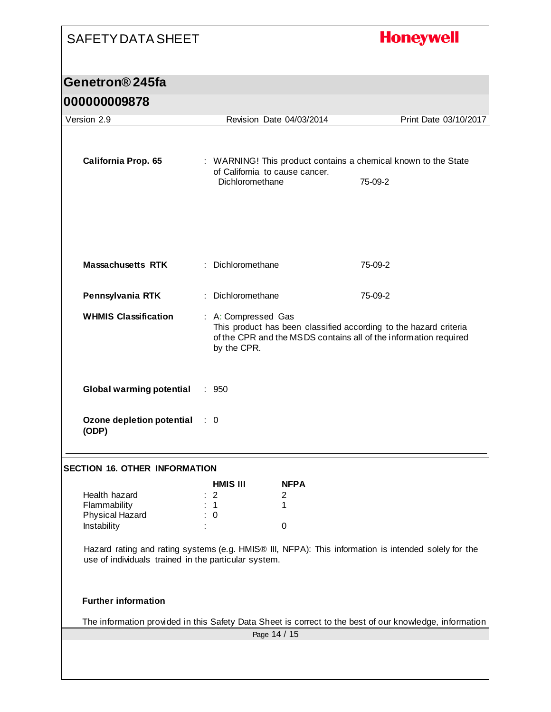# SAFETY DATA SHEET **Honeywell Genetron® 245fa 000000009878** Version 2.9 Revision Date 04/03/2014 Print Date 03/10/2017 **California Prop. 65** : WARNING! This product contains a chemical known to the State of California to cause cancer. Dichloromethane 75-09-2 **Massachusetts RTK** : Dichloromethane 75-09-2 **Pennsylvania RTK** : Dichloromethane 75-09-2 **WHMIS Classification** : A: Compressed Gas This product has been classified according to the hazard criteria of the CPR and the MSDS contains all of the information required by the CPR. **Global warming potential** : 950 **Ozone depletion potential**  : 0 **(ODP) SECTION 16. OTHER INFORMATION HMIS III NFPA** Health hazard : 2 2 Flammability : 1 1 1 Physical Hazard : 0 Instability is the contract of the contract of the contract of the contract of the contract of the contract of the contract of the contract of the contract of the contract of the contract of the contract of the contract of Hazard rating and rating systems (e.g. HMIS® III, NFPA): This information is intended solely for the use of individuals trained in the particular system. **Further information** The information provided in this Safety Data Sheet is correct to the best of our knowledge, information Page 14 / 15